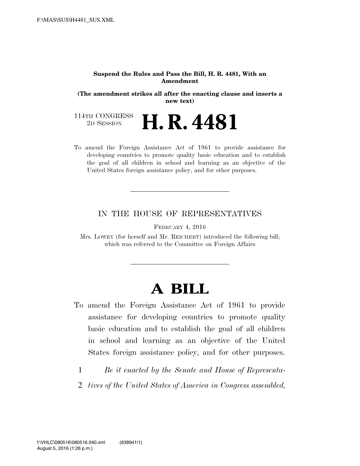#### **Suspend the Rules and Pass the Bill, H. R. 4481, With an Amendment**

**(The amendment strikes all after the enacting clause and inserts a new text)** 

114TH CONGRESS<br>2D SESSION **H. R. 4481** 

To amend the Foreign Assistance Act of 1961 to provide assistance for developing countries to promote quality basic education and to establish the goal of all children in school and learning as an objective of the United States foreign assistance policy, and for other purposes.

### IN THE HOUSE OF REPRESENTATIVES

FEBRUARY 4, 2016

Mrs. LOWEY (for herself and Mr. REICHERT) introduced the following bill; which was referred to the Committee on Foreign Affairs

# **A BILL**

- To amend the Foreign Assistance Act of 1961 to provide assistance for developing countries to promote quality basic education and to establish the goal of all children in school and learning as an objective of the United States foreign assistance policy, and for other purposes.
	- 1 *Be it enacted by the Senate and House of Representa-*
	- 2 *tives of the United States of America in Congress assembled,*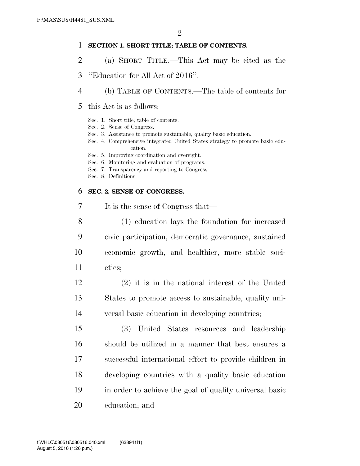### **SECTION 1. SHORT TITLE; TABLE OF CONTENTS.**

- (a) SHORT TITLE.—This Act may be cited as the
- ''Education for All Act of 2016''.
- (b) TABLE OF CONTENTS.—The table of contents for
- this Act is as follows:
	- Sec. 1. Short title; table of contents.
	- Sec. 2. Sense of Congress.
	- Sec. 3. Assistance to promote sustainable, quality basic education.
	- Sec. 4. Comprehensive integrated United States strategy to promote basic education.
	- Sec. 5. Improving coordination and oversight.
	- Sec. 6. Monitoring and evaluation of programs.
	- Sec. 7. Transparency and reporting to Congress.
	- Sec. 8. Definitions.

## **SEC. 2. SENSE OF CONGRESS.**

- It is the sense of Congress that— (1) education lays the foundation for increased civic participation, democratic governance, sustained economic growth, and healthier, more stable soci-
	- eties;
	- (2) it is in the national interest of the United States to promote access to sustainable, quality uni-versal basic education in developing countries;
- (3) United States resources and leadership should be utilized in a manner that best ensures a successful international effort to provide children in developing countries with a quality basic education in order to achieve the goal of quality universal basic education; and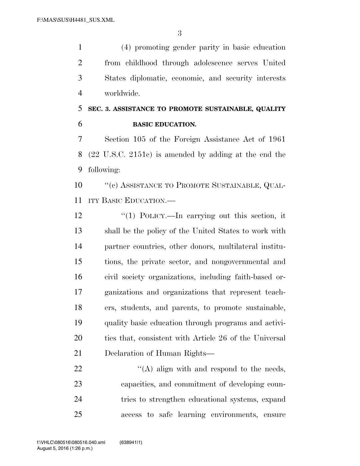(4) promoting gender parity in basic education from childhood through adolescence serves United States diplomatic, economic, and security interests worldwide.

# **SEC. 3. ASSISTANCE TO PROMOTE SUSTAINABLE, QUALITY BASIC EDUCATION.**

 Section 105 of the Foreign Assistance Act of 1961 (22 U.S.C. 2151c) is amended by adding at the end the following:

10 "(c) ASSISTANCE TO PROMOTE SUSTAINABLE, QUAL-ITY BASIC EDUCATION.—

12 "(1) POLICY.—In carrying out this section, it shall be the policy of the United States to work with partner countries, other donors, multilateral institu- tions, the private sector, and nongovernmental and civil society organizations, including faith-based or- ganizations and organizations that represent teach- ers, students, and parents, to promote sustainable, quality basic education through programs and activi-20 ties that, consistent with Article 26 of the Universal Declaration of Human Rights—

22 "'(A) align with and respond to the needs, capacities, and commitment of developing coun- tries to strengthen educational systems, expand access to safe learning environments, ensure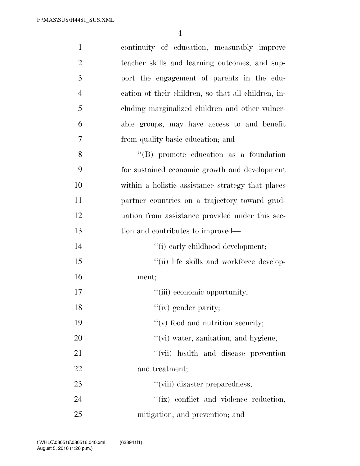| $\mathbf{1}$   | continuity of education, measurably improve         |
|----------------|-----------------------------------------------------|
| $\overline{2}$ | teacher skills and learning outcomes, and sup-      |
| 3              | port the engagement of parents in the edu-          |
| $\overline{4}$ | cation of their children, so that all children, in- |
| 5              | cluding marginalized children and other vulner-     |
| 6              | able groups, may have access to and benefit         |
| 7              | from quality basic education; and                   |
| 8              | $\lq\lq$ promote education as a foundation          |
| 9              | for sustained economic growth and development       |
| 10             | within a holistic assistance strategy that places   |
| 11             | partner countries on a trajectory toward grad-      |
| 12             | uation from assistance provided under this sec-     |
| 13             | tion and contributes to improved—                   |
| 14             | "(i) early childhood development;                   |
| 15             | "(ii) life skills and workforce develop-            |
| 16             | ment;                                               |
| 17             | "(iii) economic opportunity;                        |
| 18             | "(iv) gender parity;                                |
| 19             | $f'(v)$ food and nutrition security;                |
| 20             | "(vi) water, sanitation, and hygiene;               |
| 21             | "(vii) health and disease prevention                |
| 22             | and treatment;                                      |
| 23             | "(viii) disaster preparedness;                      |
| 24             | "(ix) conflict and violence reduction,              |
| 25             | mitigation, and prevention; and                     |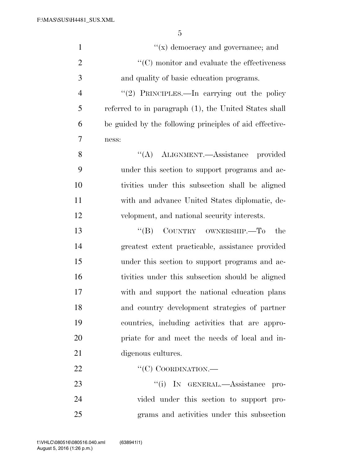| $\mathbf{1}$   | $f(x)$ democracy and governance; and                             |
|----------------|------------------------------------------------------------------|
| $\overline{2}$ | $\lq\lq$ <sup>c</sup> (C) monitor and evaluate the effectiveness |
| 3              | and quality of basic education programs.                         |
| $\overline{4}$ | "(2) PRINCIPLES.—In carrying out the policy                      |
| 5              | referred to in paragraph (1), the United States shall            |
| 6              | be guided by the following principles of aid effective-          |
| 7              | ness:                                                            |
| 8              | "(A) ALIGNMENT.—Assistance provided                              |
| 9              | under this section to support programs and ac-                   |
| 10             | tivities under this subsection shall be aligned                  |
| 11             | with and advance United States diplomatic, de-                   |
| 12             | velopment, and national security interests.                      |
| 13             | COUNTRY OWNERSHIP. To<br>$\lq\lq (B)$<br>the                     |
| 14             | greatest extent practicable, assistance provided                 |
| 15             | under this section to support programs and ac-                   |
| 16             | tivities under this subsection should be aligned                 |
| 17             | with and support the national education plans                    |
| 18             | and country development strategies of partner                    |
| 19             | countries, including activities that are appro-                  |
| 20             | priate for and meet the needs of local and in-                   |
| 21             | digenous cultures.                                               |
| 22             | " $(C)$ COORDINATION.—                                           |
| 23             | "(i) IN GENERAL.—Assistance pro-                                 |
| 24             | vided under this section to support pro-                         |
| 25             | grams and activities under this subsection                       |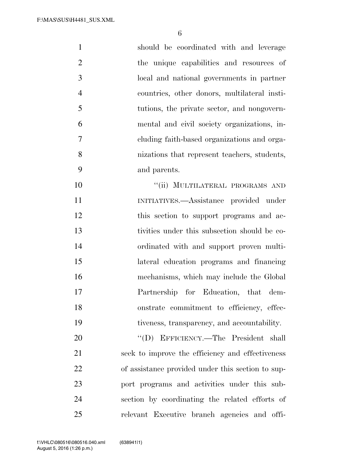| $\mathbf{1}$   | should be coordinated with and leverage           |
|----------------|---------------------------------------------------|
| $\overline{2}$ | the unique capabilities and resources of          |
| 3              | local and national governments in partner         |
| $\overline{4}$ | countries, other donors, multilateral insti-      |
| 5              | tutions, the private sector, and nongovern-       |
| 6              | mental and civil society organizations, in-       |
| 7              | cluding faith-based organizations and orga-       |
| 8              | nizations that represent teachers, students,      |
| 9              | and parents.                                      |
| 10             | "(ii) MULTILATERAL PROGRAMS AND                   |
| 11             | INITIATIVES.—Assistance provided under            |
| 12             | this section to support programs and ac-          |
| 13             | tivities under this subsection should be co-      |
| 14             | ordinated with and support proven multi-          |
| 15             | lateral education programs and financing          |
| 16             | mechanisms, which may include the Global          |
| 17             | Partnership for Education, that dem-              |
| 18             | onstrate commitment to efficiency, effec-         |
| 19             | tiveness, transparency, and accountability.       |
| 20             | "(D) EFFICIENCY.—The President shall              |
| 21             | seek to improve the efficiency and effectiveness  |
| 22             | of assistance provided under this section to sup- |
| 23             | port programs and activities under this sub-      |
| 24             | section by coordinating the related efforts of    |
| 25             | relevant Executive branch agencies and offi-      |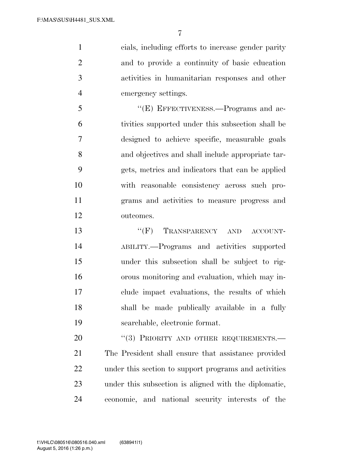cials, including efforts to increase gender parity and to provide a continuity of basic education activities in humanitarian responses and other emergency settings.

 ''(E) EFFECTIVENESS.—Programs and ac- tivities supported under this subsection shall be designed to achieve specific, measurable goals and objectives and shall include appropriate tar- gets, metrics and indicators that can be applied with reasonable consistency across such pro- grams and activities to measure progress and outcomes.

13 "
(F) TRANSPARENCY AND ACCOUNT- ABILITY.—Programs and activities supported under this subsection shall be subject to rig- orous monitoring and evaluation, which may in- clude impact evaluations, the results of which shall be made publically available in a fully searchable, electronic format.

20 "(3) PRIORITY AND OTHER REQUIREMENTS.— The President shall ensure that assistance provided under this section to support programs and activities under this subsection is aligned with the diplomatic, economic, and national security interests of the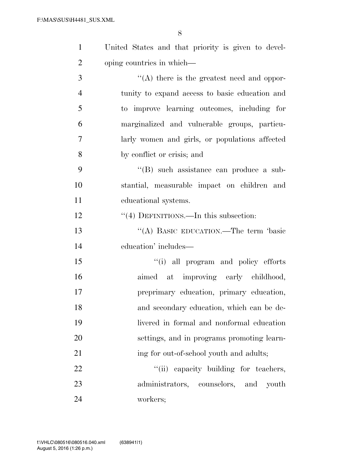| $\mathbf{1}$   | United States and that priority is given to devel-    |
|----------------|-------------------------------------------------------|
| $\overline{2}$ | oping countries in which—                             |
| 3              | $\lq\lq$ there is the greatest need and oppor-        |
| $\overline{4}$ | tunity to expand access to basic education and        |
| 5              | to improve learning outcomes, including for           |
| 6              | marginalized and vulnerable groups, particu-          |
| 7              | larly women and girls, or populations affected        |
| 8              | by conflict or crisis; and                            |
| 9              | "(B) such assistance can produce a sub-               |
| 10             | stantial, measurable impact on children and           |
| 11             | educational systems.                                  |
| 12             | $\cdot\cdot\cdot(4)$ DEFINITIONS.—In this subsection: |
| 13             | "(A) BASIC EDUCATION.—The term 'basic                 |
| 14             | education' includes—                                  |
| 15             | "(i) all program and policy efforts                   |
| 16             | aimed at improving early childhood,                   |
| 17             | preprimary education, primary education,              |
| 18             | and secondary education, which can be de-             |
| 19             | livered in formal and nonformal education             |
| 20             | settings, and in programs promoting learn-            |
| 21             | ing for out-of-school youth and adults;               |
| 22             | "(ii) capacity building for teachers,                 |
| 23             | administrators, counselors, and youth                 |
| 24             | workers;                                              |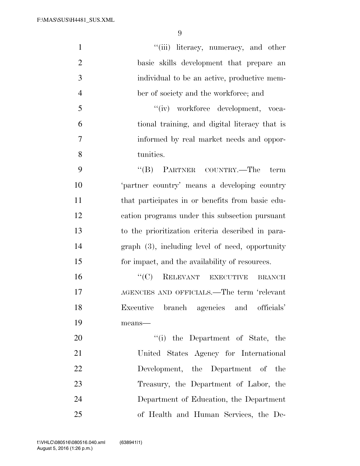| $\mathbf{1}$   | "(iii) literacy, numeracy, and other              |
|----------------|---------------------------------------------------|
| $\overline{2}$ | basic skills development that prepare an          |
| 3              | individual to be an active, productive mem-       |
| $\overline{4}$ | ber of society and the workforce; and             |
| 5              | "(iv) workforce development, voca-                |
| 6              | tional training, and digital literacy that is     |
| 7              | informed by real market needs and oppor-          |
| 8              | tunities.                                         |
| 9              | $``(B)$ PARTNER COUNTRY.—The<br>term              |
| 10             | 'partner country' means a developing country      |
| 11             | that participates in or benefits from basic edu-  |
| 12             | cation programs under this subsection pursuant    |
| 13             | to the prioritization criteria described in para- |
| 14             | $graph(3)$ , including level of need, opportunity |
| 15             | for impact, and the availability of resources.    |
| 16             | $``(C)$ RELEVANT EXECUTIVE<br><b>BRANCH</b>       |
| 17             | AGENCIES AND OFFICIALS.—The term 'relevant        |
| 18             | Executive branch agencies and officials'          |
| 19             | means-                                            |
| 20             | "(i) the Department of State, the                 |
| 21             | United States Agency for International            |
| 22             | Development, the Department of the                |
| 23             | Treasury, the Department of Labor, the            |
| 24             | Department of Education, the Department           |
| 25             | of Health and Human Services, the De-             |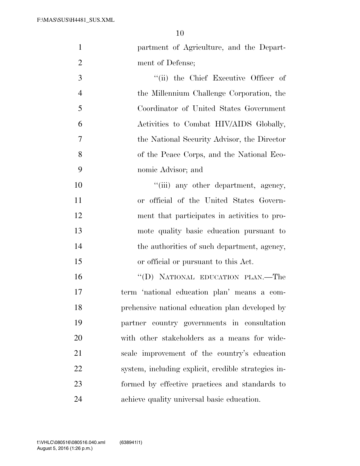| $\mathbf{1}$   | partment of Agriculture, and the Depart-            |
|----------------|-----------------------------------------------------|
| $\overline{2}$ | ment of Defense;                                    |
| 3              | "(ii) the Chief Executive Officer of                |
| $\overline{4}$ | the Millennium Challenge Corporation, the           |
| 5              | Coordinator of United States Government             |
| 6              | Activities to Combat HIV/AIDS Globally,             |
| $\overline{7}$ | the National Security Advisor, the Director         |
| 8              | of the Peace Corps, and the National Eco-           |
| 9              | nomic Advisor; and                                  |
| 10             | "(iii) any other department, agency,                |
| 11             | or official of the United States Govern-            |
| 12             | ment that participates in activities to pro-        |
| 13             | mote quality basic education pursuant to            |
| 14             | the authorities of such department, agency,         |
| 15             | or official or pursuant to this Act.                |
| 16             | "(D) NATIONAL EDUCATION PLAN.—The                   |
| 17             | term 'national education plan' means a com-         |
| 18             | prehensive national education plan developed by     |
| 19             | partner country governments in consultation         |
| 20             | with other stakeholders as a means for wide-        |
| 21             | scale improvement of the country's education        |
| 22             | system, including explicit, credible strategies in- |
| 23             | formed by effective practices and standards to      |
| 24             | achieve quality universal basic education.          |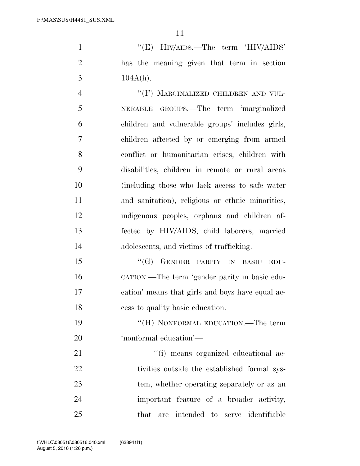1 ''(E) HIV/AIDS.—The term 'HIV/AIDS' has the meaning given that term in section 3  $104A(h)$ .

4 "(F) MARGINALIZED CHILDREN AND VUL- NERABLE GROUPS.—The term 'marginalized children and vulnerable groups' includes girls, children affected by or emerging from armed conflict or humanitarian crises, children with disabilities, children in remote or rural areas (including those who lack access to safe water and sanitation), religious or ethnic minorities, indigenous peoples, orphans and children af- fected by HIV/AIDS, child laborers, married adolescents, and victims of trafficking.

15 "(G) GENDER PARITY IN BASIC EDU- CATION.—The term 'gender parity in basic edu- cation' means that girls and boys have equal ac-cess to quality basic education.

19 "(H) NONFORMAL EDUCATION.—The term 'nonformal education'—

21  $\frac{1}{2}$   $\frac{1}{2}$  means organized educational ac-22 tivities outside the established formal sys-23 tem, whether operating separately or as an important feature of a broader activity, that are intended to serve identifiable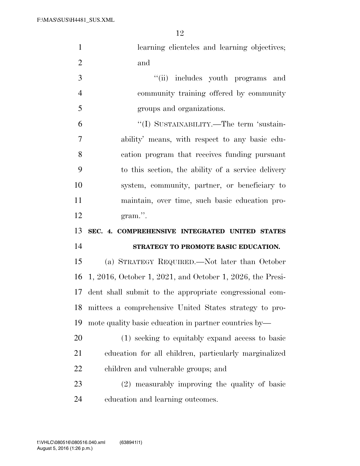| $\mathbf{1}$   | learning clienteles and learning objectives;                |
|----------------|-------------------------------------------------------------|
| $\overline{2}$ | and                                                         |
| 3              | "(ii) includes youth programs and                           |
| $\overline{4}$ | community training offered by community                     |
| 5              | groups and organizations.                                   |
| 6              | "(I) SUSTAINABILITY.—The term 'sustain-                     |
| 7              | ability' means, with respect to any basic edu-              |
| 8              | cation program that receives funding pursuant               |
| 9              | to this section, the ability of a service delivery          |
| 10             | system, community, partner, or beneficiary to               |
| 11             | maintain, over time, such basic education pro-              |
| 12             | gram.".                                                     |
|                |                                                             |
| 13             | SEC. 4. COMPREHENSIVE INTEGRATED UNITED STATES              |
| 14             | STRATEGY TO PROMOTE BASIC EDUCATION.                        |
| 15             | (a) STRATEGY REQUIRED.—Not later than October               |
| 16             | $1, 2016,$ October 1, 2021, and October 1, 2026, the Presi- |
| 17             | dent shall submit to the appropriate congressional com-     |
| 18             | mittees a comprehensive United States strategy to pro-      |
| 19             | mote quality basic education in partner countries by—       |
| 20             | (1) seeking to equitably expand access to basic             |
| 21             | education for all children, particularly marginalized       |
| 22             | children and vulnerable groups; and                         |
| 23             | (2) measurably improving the quality of basic               |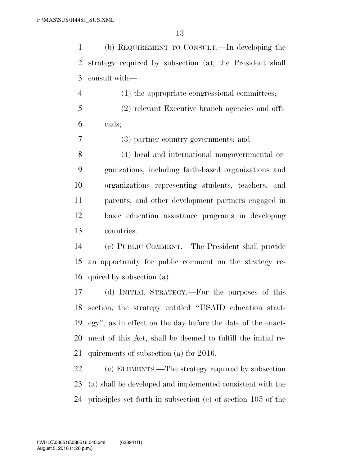(b) REQUIREMENT TO CONSULT.—In developing the strategy required by subsection (a), the President shall consult with—

 (1) the appropriate congressional committees; (2) relevant Executive branch agencies and offi-cials;

(3) partner country governments; and

 (4) local and international nongovernmental or- ganizations, including faith-based organizations and organizations representing students, teachers, and parents, and other development partners engaged in basic education assistance programs in developing countries.

 (c) PUBLIC COMMENT.—The President shall provide an opportunity for public comment on the strategy re-quired by subsection (a).

 (d) INITIAL STRATEGY.—For the purposes of this section, the strategy entitled ''USAID education strat- egy'', as in effect on the day before the date of the enact- ment of this Act, shall be deemed to fulfill the initial re-quirements of subsection (a) for 2016.

 (e) ELEMENTS.—The strategy required by subsection (a) shall be developed and implemented consistent with the principles set forth in subsection (c) of section 105 of the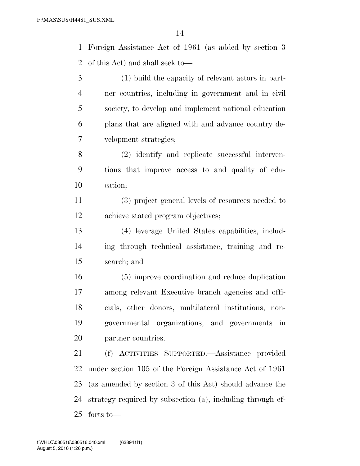Foreign Assistance Act of 1961 (as added by section 3 of this Act) and shall seek to—

 (1) build the capacity of relevant actors in part- ner countries, including in government and in civil society, to develop and implement national education plans that are aligned with and advance country de-velopment strategies;

 (2) identify and replicate successful interven- tions that improve access to and quality of edu-cation;

 (3) project general levels of resources needed to achieve stated program objectives;

 (4) leverage United States capabilities, includ- ing through technical assistance, training and re-search; and

 (5) improve coordination and reduce duplication among relevant Executive branch agencies and offi- cials, other donors, multilateral institutions, non- governmental organizations, and governments in partner countries.

 (f) ACTIVITIES SUPPORTED.—Assistance provided under section 105 of the Foreign Assistance Act of 1961 (as amended by section 3 of this Act) should advance the strategy required by subsection (a), including through ef-forts to—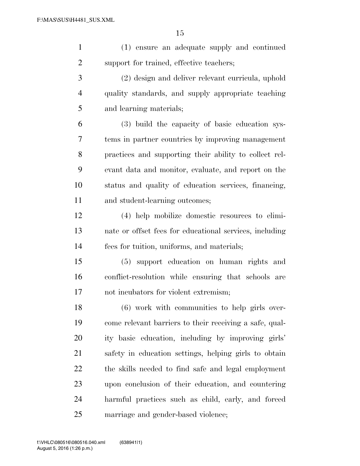(1) ensure an adequate supply and continued support for trained, effective teachers;

 (2) design and deliver relevant curricula, uphold quality standards, and supply appropriate teaching and learning materials;

 (3) build the capacity of basic education sys- tems in partner countries by improving management practices and supporting their ability to collect rel- evant data and monitor, evaluate, and report on the status and quality of education services, financing, and student-learning outcomes;

 (4) help mobilize domestic resources to elimi- nate or offset fees for educational services, including fees for tuition, uniforms, and materials;

 (5) support education on human rights and conflict-resolution while ensuring that schools are not incubators for violent extremism;

 (6) work with communities to help girls over- come relevant barriers to their receiving a safe, qual- ity basic education, including by improving girls' safety in education settings, helping girls to obtain the skills needed to find safe and legal employment upon conclusion of their education, and countering harmful practices such as child, early, and forced marriage and gender-based violence;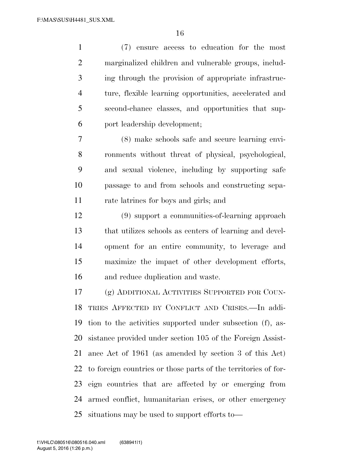(7) ensure access to education for the most marginalized children and vulnerable groups, includ- ing through the provision of appropriate infrastruc- ture, flexible learning opportunities, accelerated and second-chance classes, and opportunities that sup-port leadership development;

 (8) make schools safe and secure learning envi- ronments without threat of physical, psychological, and sexual violence, including by supporting safe passage to and from schools and constructing sepa-rate latrines for boys and girls; and

 (9) support a communities-of-learning approach that utilizes schools as centers of learning and devel- opment for an entire community, to leverage and maximize the impact of other development efforts, and reduce duplication and waste.

 (g) ADDITIONAL ACTIVITIES SUPPORTED FOR COUN- TRIES AFFECTED BY CONFLICT AND CRISES.—In addi- tion to the activities supported under subsection (f), as- sistance provided under section 105 of the Foreign Assist- ance Act of 1961 (as amended by section 3 of this Act) to foreign countries or those parts of the territories of for- eign countries that are affected by or emerging from armed conflict, humanitarian crises, or other emergency situations may be used to support efforts to—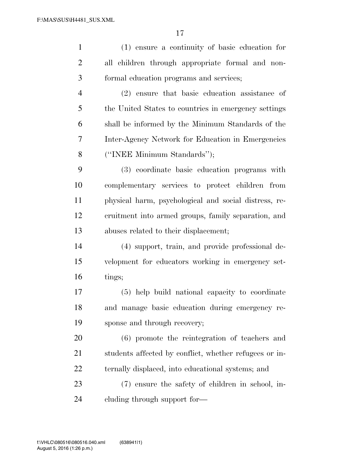| $\mathbf{1}$   | (1) ensure a continuity of basic education for         |
|----------------|--------------------------------------------------------|
| $\overline{2}$ | all children through appropriate formal and non-       |
| 3              | formal education programs and services;                |
| $\overline{4}$ | (2) ensure that basic education assistance of          |
| 5              | the United States to countries in emergency settings   |
| 6              | shall be informed by the Minimum Standards of the      |
| 7              | Inter-Agency Network for Education in Emergencies      |
| 8              | ("INEE Minimum Standards");                            |
| 9              | (3) coordinate basic education programs with           |
| 10             | complementary services to protect children from        |
| 11             | physical harm, psychological and social distress, re-  |
| 12             | cruitment into armed groups, family separation, and    |
| 13             | abuses related to their displacement;                  |
| 14             | (4) support, train, and provide professional de-       |
| 15             | velopment for educators working in emergency set-      |
| 16             | tings;                                                 |
| 17             | (5) help build national capacity to coordinate         |
| 18             | and manage basic education during emergency re-        |
| 19             | sponse and through recovery;                           |
| 20             | (6) promote the reintegration of teachers and          |
| 21             | students affected by conflict, whether refugees or in- |
| 22             | ternally displaced, into educational systems; and      |
| 23             | (7) ensure the safety of children in school, in-       |
| 24             | cluding through support for—                           |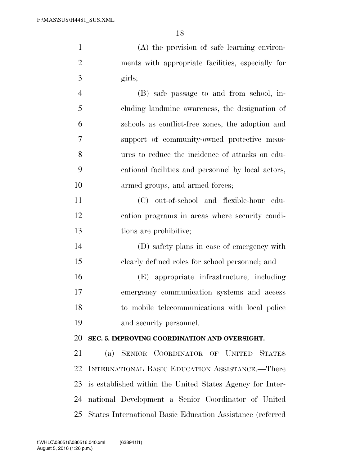| $\mathbf{1}$   | (A) the provision of safe learning environ-        |
|----------------|----------------------------------------------------|
| $\overline{2}$ | ments with appropriate facilities, especially for  |
| 3              | girls;                                             |
| $\overline{4}$ | (B) safe passage to and from school, in-           |
| 5              | cluding landmine awareness, the designation of     |
| 6              | schools as conflict-free zones, the adoption and   |
| 7              | support of community-owned protective meas-        |
| 8              | ures to reduce the incidence of attacks on edu-    |
| 9              | cational facilities and personnel by local actors, |
| 10             | armed groups, and armed forces;                    |
| 11             | (C) out-of-school and flexible-hour edu-           |
| 12             | cation programs in areas where security condi-     |
| 13             | tions are prohibitive;                             |
| 14             | (D) safety plans in case of emergency with         |
| 15             | clearly defined roles for school personnel; and    |

 (E) appropriate infrastructure, including emergency communication systems and access to mobile telecommunications with local police and security personnel.

# **SEC. 5. IMPROVING COORDINATION AND OVERSIGHT.**

 (a) SENIOR COORDINATOR OF UNITED STATES INTERNATIONAL BASIC EDUCATION ASSISTANCE.—There is established within the United States Agency for Inter- national Development a Senior Coordinator of United States International Basic Education Assistance (referred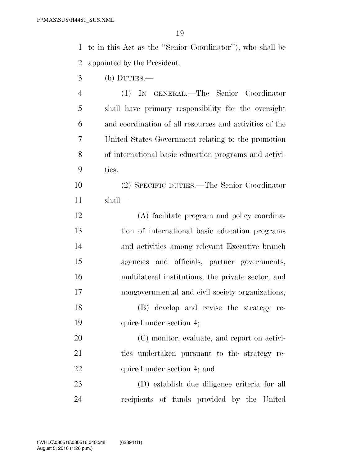to in this Act as the ''Senior Coordinator''), who shall be appointed by the President.

(b) DUTIES.—

 (1) IN GENERAL.—The Senior Coordinator shall have primary responsibility for the oversight and coordination of all resources and activities of the United States Government relating to the promotion of international basic education programs and activi-ties.

 (2) SPECIFIC DUTIES.—The Senior Coordinator shall—

 (A) facilitate program and policy coordina- tion of international basic education programs and activities among relevant Executive branch agencies and officials, partner governments, multilateral institutions, the private sector, and nongovernmental and civil society organizations; (B) develop and revise the strategy re-quired under section 4;

 (C) monitor, evaluate, and report on activi- ties undertaken pursuant to the strategy re-22 quired under section 4; and

 (D) establish due diligence criteria for all recipients of funds provided by the United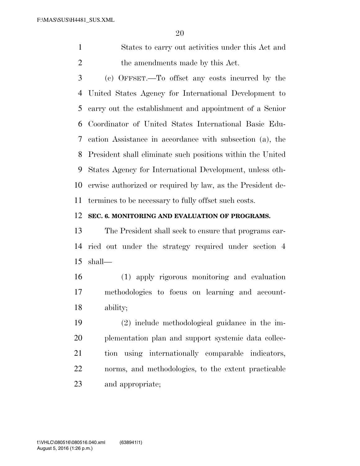States to carry out activities under this Act and 2 the amendments made by this Act.

 (c) OFFSET.—To offset any costs incurred by the United States Agency for International Development to carry out the establishment and appointment of a Senior Coordinator of United States International Basic Edu- cation Assistance in accordance with subsection (a), the President shall eliminate such positions within the United States Agency for International Development, unless oth- erwise authorized or required by law, as the President de-termines to be necessary to fully offset such costs.

### **SEC. 6. MONITORING AND EVALUATION OF PROGRAMS.**

 The President shall seek to ensure that programs car- ried out under the strategy required under section 4 shall—

 (1) apply rigorous monitoring and evaluation methodologies to focus on learning and account-ability;

 (2) include methodological guidance in the im- plementation plan and support systemic data collec- tion using internationally comparable indicators, norms, and methodologies, to the extent practicable and appropriate;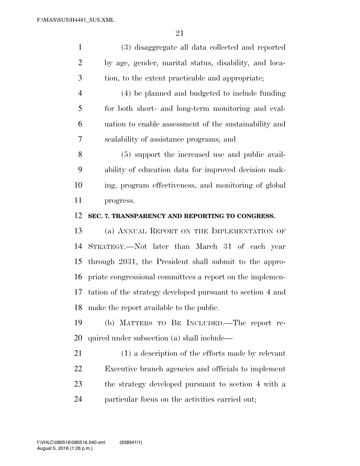(3) disaggregate all data collected and reported by age, gender, marital status, disability, and loca-tion, to the extent practicable and appropriate;

 (4) be planned and budgeted to include funding for both short- and long-term monitoring and eval- uation to enable assessment of the sustainability and scalability of assistance programs; and

 (5) support the increased use and public avail- ability of education data for improved decision mak- ing, program effectiveness, and monitoring of global progress.

### **SEC. 7. TRANSPARENCY AND REPORTING TO CONGRESS.**

 (a) ANNUAL REPORT ON THE IMPLEMENTATION OF STRATEGY.—Not later than March 31 of each year through 2031, the President shall submit to the appro- priate congressional committees a report on the implemen- tation of the strategy developed pursuant to section 4 and make the report available to the public.

 (b) MATTERS TO BE INCLUDED.—The report re-quired under subsection (a) shall include—

 (1) a description of the efforts made by relevant Executive branch agencies and officials to implement the strategy developed pursuant to section 4 with a particular focus on the activities carried out;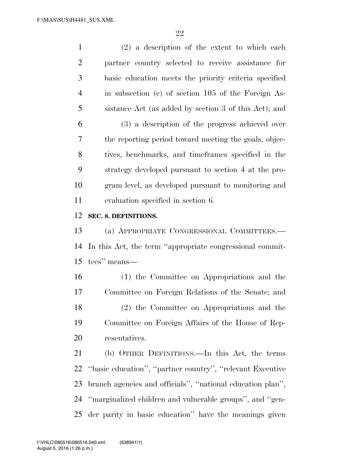(2) a description of the extent to which each partner country selected to receive assistance for basic education meets the priority criteria specified in subsection (c) of section 105 of the Foreign As- sistance Act (as added by section 3 of this Act); and (3) a description of the progress achieved over the reporting period toward meeting the goals, objec- tives, benchmarks, and timeframes specified in the strategy developed pursuant to section 4 at the pro- gram level, as developed pursuant to monitoring and evaluation specified in section 6.

### **SEC. 8. DEFINITIONS.**

 (a) APPROPRIATE CONGRESSIONAL COMMITTEES.— In this Act, the term ''appropriate congressional commit-tees'' means—

 (1) the Committee on Appropriations and the Committee on Foreign Relations of the Senate; and (2) the Committee on Appropriations and the Committee on Foreign Affairs of the House of Rep-resentatives.

 (b) OTHER DEFINITIONS.—In this Act, the terms ''basic education'', ''partner country'', ''relevant Executive branch agencies and officials'', ''national education plan'', ''marginalized children and vulnerable groups'', and ''gen-der parity in basic education'' have the meanings given